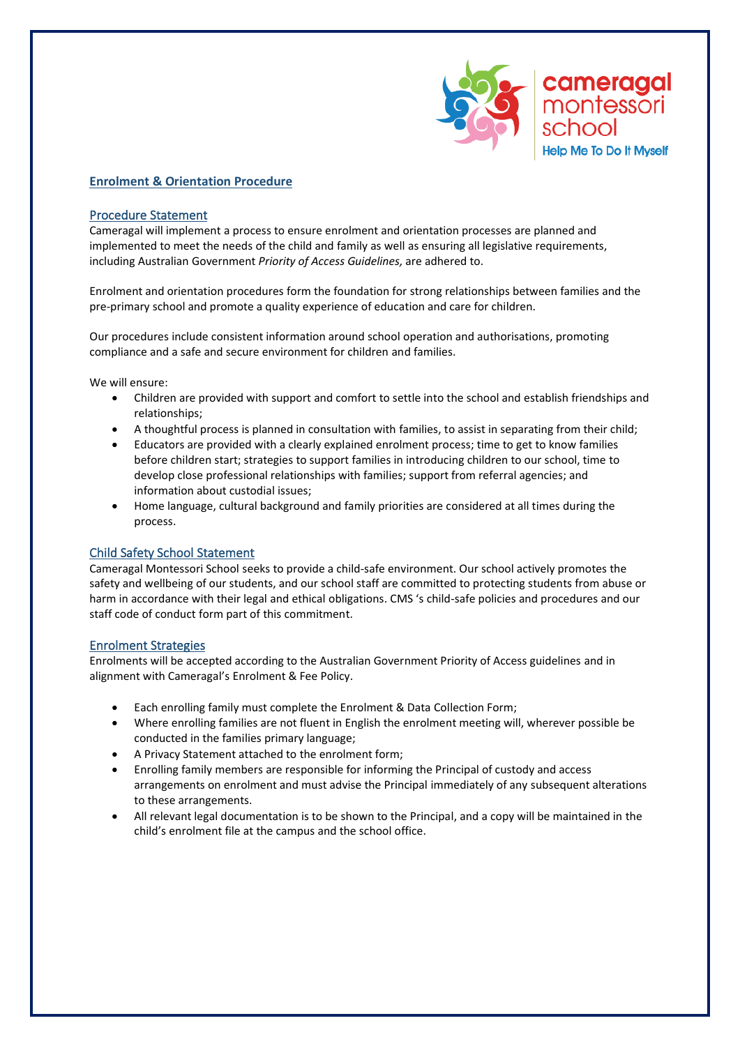

# **Enrolment & Orientation Procedure**

### Procedure Statement

Cameragal will implement a process to ensure enrolment and orientation processes are planned and implemented to meet the needs of the child and family as well as ensuring all legislative requirements, including Australian Government *Priority of Access Guidelines,* are adhered to.

Enrolment and orientation procedures form the foundation for strong relationships between families and the pre-primary school and promote a quality experience of education and care for children.

Our procedures include consistent information around school operation and authorisations, promoting compliance and a safe and secure environment for children and families.

We will ensure:

- Children are provided with support and comfort to settle into the school and establish friendships and relationships;
- A thoughtful process is planned in consultation with families, to assist in separating from their child;
- Educators are provided with a clearly explained enrolment process; time to get to know families before children start; strategies to support families in introducing children to our school, time to develop close professional relationships with families; support from referral agencies; and information about custodial issues;
- Home language, cultural background and family priorities are considered at all times during the process.

# Child Safety School Statement

Cameragal Montessori School seeks to provide a child-safe environment. Our school actively promotes the safety and wellbeing of our students, and our school staff are committed to protecting students from abuse or harm in accordance with their legal and ethical obligations. CMS 's child-safe policies and procedures and our staff code of conduct form part of this commitment.

#### Enrolment Strategies

Enrolments will be accepted according to the Australian Government Priority of Access guidelines and in alignment with Cameragal's Enrolment & Fee Policy.

- Each enrolling family must complete the Enrolment & Data Collection Form;
- Where enrolling families are not fluent in English the enrolment meeting will, wherever possible be conducted in the families primary language;
- A Privacy Statement attached to the enrolment form;
- Enrolling family members are responsible for informing the Principal of custody and access arrangements on enrolment and must advise the Principal immediately of any subsequent alterations to these arrangements.
- All relevant legal documentation is to be shown to the Principal, and a copy will be maintained in the child's enrolment file at the campus and the school office.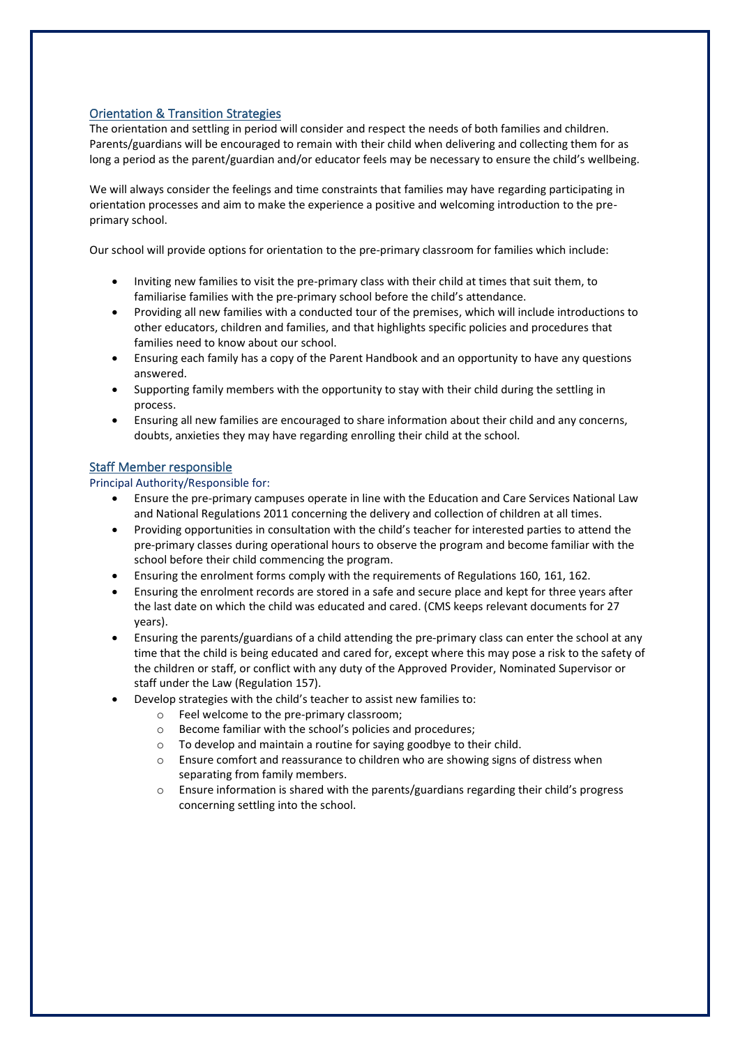# Orientation & Transition Strategies

The orientation and settling in period will consider and respect the needs of both families and children. Parents/guardians will be encouraged to remain with their child when delivering and collecting them for as long a period as the parent/guardian and/or educator feels may be necessary to ensure the child's wellbeing.

We will always consider the feelings and time constraints that families may have regarding participating in orientation processes and aim to make the experience a positive and welcoming introduction to the preprimary school.

Our school will provide options for orientation to the pre-primary classroom for families which include:

- Inviting new families to visit the pre-primary class with their child at times that suit them, to familiarise families with the pre-primary school before the child's attendance.
- Providing all new families with a conducted tour of the premises, which will include introductions to other educators, children and families, and that highlights specific policies and procedures that families need to know about our school.
- Ensuring each family has a copy of the Parent Handbook and an opportunity to have any questions answered.
- Supporting family members with the opportunity to stay with their child during the settling in process.
- Ensuring all new families are encouraged to share information about their child and any concerns, doubts, anxieties they may have regarding enrolling their child at the school.

### Staff Member responsible

#### Principal Authority/Responsible for:

- Ensure the pre-primary campuses operate in line with the Education and Care Services National Law and National Regulations 2011 concerning the delivery and collection of children at all times.
- Providing opportunities in consultation with the child's teacher for interested parties to attend the pre-primary classes during operational hours to observe the program and become familiar with the school before their child commencing the program.
- Ensuring the enrolment forms comply with the requirements of Regulations 160, 161, 162.
- Ensuring the enrolment records are stored in a safe and secure place and kept for three years after the last date on which the child was educated and cared. (CMS keeps relevant documents for 27 years).
- Ensuring the parents/guardians of a child attending the pre-primary class can enter the school at any time that the child is being educated and cared for, except where this may pose a risk to the safety of the children or staff, or conflict with any duty of the Approved Provider, Nominated Supervisor or staff under the Law (Regulation 157).
- Develop strategies with the child's teacher to assist new families to:
	- o Feel welcome to the pre-primary classroom;
	- o Become familiar with the school's policies and procedures;
	- o To develop and maintain a routine for saying goodbye to their child.
	- $\circ$  Ensure comfort and reassurance to children who are showing signs of distress when separating from family members.
	- $\circ$  Ensure information is shared with the parents/guardians regarding their child's progress concerning settling into the school.